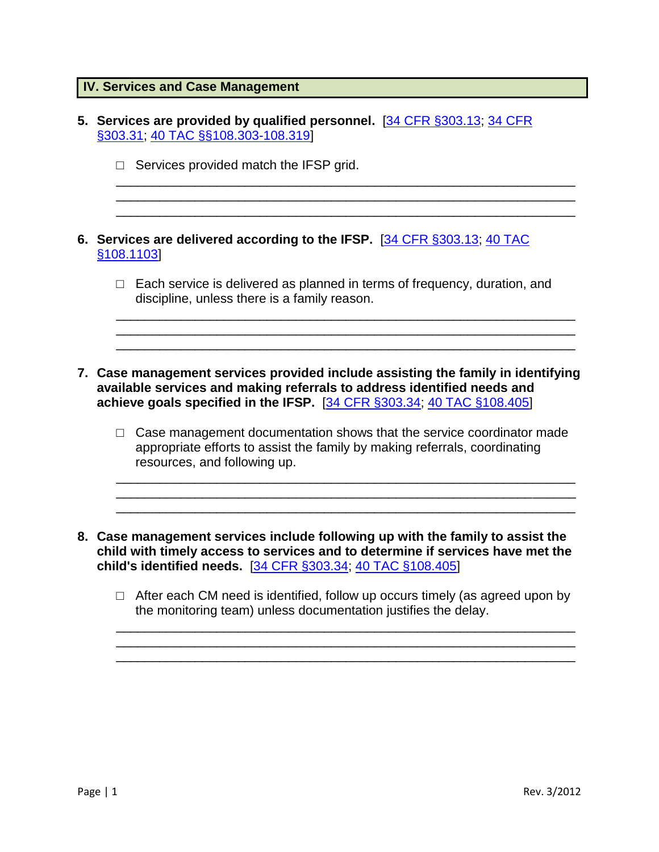|  | <b>IV. Services and Case Management</b> |  |  |  |  |
|--|-----------------------------------------|--|--|--|--|
|--|-----------------------------------------|--|--|--|--|

| $\Box$ Services provided match the IFSP grid.<br>6. Services are delivered according to the IFSP. [34 CFR §303.13; 40 TAC<br>§108.1103<br>$\Box$ Each service is delivered as planned in terms of frequency, duration, and<br>discipline, unless there is a family reason. |  |
|----------------------------------------------------------------------------------------------------------------------------------------------------------------------------------------------------------------------------------------------------------------------------|--|
|                                                                                                                                                                                                                                                                            |  |
|                                                                                                                                                                                                                                                                            |  |
|                                                                                                                                                                                                                                                                            |  |
| 7. Case management services provided include assisting the family in identifying<br>available services and making referrals to address identified needs and<br>achieve goals specified in the IFSP. [34 CFR §303.34; 40 TAC §108.405]                                      |  |
| $\Box$ Case management documentation shows that the service coordinator made<br>appropriate efforts to assist the family by making referrals, coordinating<br>resources, and following up.                                                                                 |  |
| 8. Case management services include following up with the family to assist the<br>child with timely access to services and to determine if services have met the<br>child's identified needs. [34 CFR §303.34; 40 TAC §108.405]                                            |  |
| $\Box$ After each CM need is identified, follow up occurs timely (as agreed upon by<br>the monitoring team) unless documentation justifies the delay.                                                                                                                      |  |
|                                                                                                                                                                                                                                                                            |  |